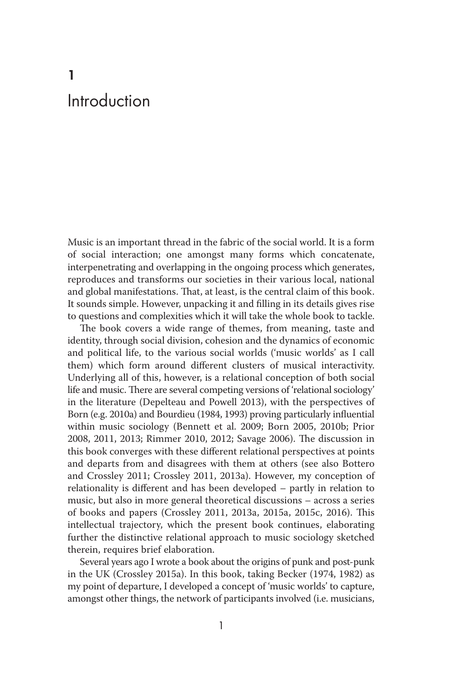# **1** Introduction

 Music is an important thread in the fabric of the social world. It is a form of social interaction; one amongst many forms which concatenate, interpenetrating and overlapping in the ongoing process which generates, reproduces and transforms our societies in their various local, national and global manifestations. That, at least, is the central claim of this book. It sounds simple. However, unpacking it and filling in its details gives rise to questions and complexities which it will take the whole book to tackle.

The book covers a wide range of themes, from meaning, taste and identity, through social division, cohesion and the dynamics of economic and political life, to the various social worlds ('music worlds' as I call them) which form around different clusters of musical interactivity. Underlying all of this, however, is a relational conception of both social life and music. There are several competing versions of 'relational sociology' in the literature (Depelteau and Powell 2013), with the perspectives of Born (e.g. 2010a) and Bourdieu (1984, 1993) proving particularly influential within music sociology (Bennett et al. 2009; Born 2005, 2010b; Prior 2008, 2011, 2013; Rimmer 2010, 2012; Savage 2006). The discussion in this book converges with these different relational perspectives at points and departs from and disagrees with them at others (see also Bottero and Crossley 2011; Crossley 2011, 2013a). However, my conception of relationality is different and has been developed – partly in relation to music, but also in more general theoretical discussions – across a series of books and papers (Crossley 2011, 2013a, 2015a, 2015c, 2016). This intellectual trajectory, which the present book continues, elaborating further the distinctive relational approach to music sociology sketched therein, requires brief elaboration.

 Several years ago I wrote a book about the origins of punk and post-punk in the UK (Crossley 2015a). In this book, taking Becker (1974, 1982) as my point of departure, I developed a concept of 'music worlds' to capture, amongst other things, the network of participants involved (i.e. musicians,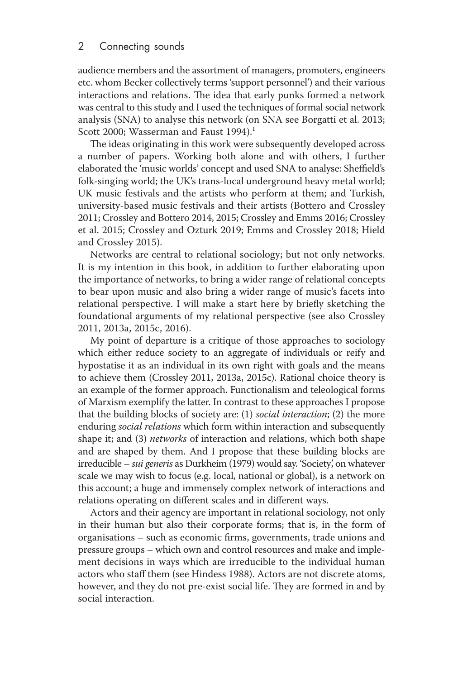## 2 Connecting sounds

audience members and the assortment of managers, promoters, engineers etc. whom Becker collectively terms 'support personnel') and their various interactions and relations. The idea that early punks formed a network was central to this study and I used the techniques of formal social network analysis (SNA) to analyse this network (on SNA see Borgatti et al. 2013; Scott 2000; Wasserman and Faust 1994).<sup>1</sup>

The ideas originating in this work were subsequently developed across a number of papers. Working both alone and with others, I further elaborated the 'music worlds' concept and used SNA to analyse: Sheffield's folk-singing world; the UK's trans-local underground heavy metal world; UK music festivals and the artists who perform at them; and Turkish, university-based music festivals and their artists ( Bottero and Crossley 2011; Crossley and Bottero 2014, 2015; Crossley and Emms 2016; Crossley et al. 2015; Crossley and Ozturk 2019; Emms and Crossley 2018; Hield and Crossley 2015).

 Networks are central to relational sociology; but not only networks. It is my intention in this book, in addition to further elaborating upon the importance of networks, to bring a wider range of relational concepts to bear upon music and also bring a wider range of music's facets into relational perspective. I will make a start here by briefly sketching the foundational arguments of my relational perspective (see also Crossley 2011, 2013a, 2015c, 2016).

 My point of departure is a critique of those approaches to sociology which either reduce society to an aggregate of individuals or reify and hypostatise it as an individual in its own right with goals and the means to achieve them (Crossley 2011, 2013a, 2015c). Rational choice theory is an example of the former approach. Functionalism and teleological forms of Marxism exemplify the latter. In contrast to these approaches I propose that the building blocks of society are: (1) *social interaction*; (2) the more enduring *social relations* which form within interaction and subsequently shape it; and (3) *networks* of interaction and relations, which both shape and are shaped by them. And I propose that these building blocks are irreducible – *sui generis* as Durkheim ( 1979 ) would say. 'Society', on whatever scale we may wish to focus (e.g. local, national or global), is a network on this account; a huge and immensely complex network of interactions and relations operating on different scales and in different ways.

 Actors and their agency are important in relational sociology, not only in their human but also their corporate forms; that is, in the form of organisations - such as economic firms, governments, trade unions and pressure groups – which own and control resources and make and implement decisions in ways which are irreducible to the individual human actors who staff them (see Hindess 1988). Actors are not discrete atoms, however, and they do not pre-exist social life. They are formed in and by social interaction.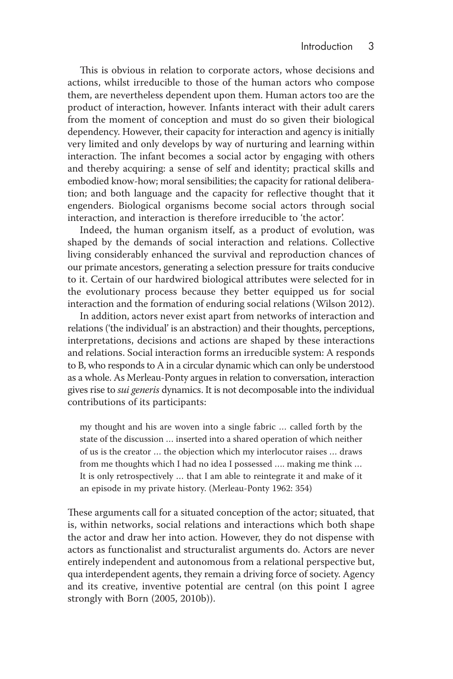This is obvious in relation to corporate actors, whose decisions and actions, whilst irreducible to those of the human actors who compose them, are nevertheless dependent upon them. Human actors too are the product of interaction, however. Infants interact with their adult carers from the moment of conception and must do so given their biological dependency. However, their capacity for interaction and agency is initially very limited and only develops by way of nurturing and learning within interaction. The infant becomes a social actor by engaging with others and thereby acquiring: a sense of self and identity; practical skills and embodied know-how; moral sensibilities; the capacity for rational deliberation; and both language and the capacity for reflective thought that it engenders. Biological organisms become social actors through social interaction, and interaction is therefore irreducible to 'the actor'.

 Indeed, the human organism itself, as a product of evolution, was shaped by the demands of social interaction and relations. Collective living considerably enhanced the survival and reproduction chances of our primate ancestors, generating a selection pressure for traits conducive to it. Certain of our hardwired biological attributes were selected for in the evolutionary process because they better equipped us for social interaction and the formation of enduring social relations (Wilson 2012).

 In addition, actors never exist apart from networks of interaction and relations ('the individual' is an abstraction) and their thoughts, perceptions, interpretations, decisions and actions are shaped by these interactions and relations. Social interaction forms an irreducible system: A responds to B, who responds to A in a circular dynamic which can only be understood as a whole. As Merleau-Ponty argues in relation to conversation, interaction gives rise to *sui generis* dynamics. It is not decomposable into the individual contributions of its participants:

 my thought and his are woven into a single fabric … called forth by the state of the discussion … inserted into a shared operation of which neither of us is the creator … the objection which my interlocutor raises … draws from me thoughts which I had no idea I possessed …. making me think … It is only retrospectively … that I am able to reintegrate it and make of it an episode in my private history. (Merleau-Ponty 1962: 354)

These arguments call for a situated conception of the actor; situated, that is, within networks, social relations and interactions which both shape the actor and draw her into action. However, they do not dispense with actors as functionalist and structuralist arguments do. Actors are never entirely independent and autonomous from a relational perspective but, qua interdependent agents, they remain a driving force of society. Agency and its creative, inventive potential are central (on this point I agree strongly with Born (2005, 2010b)).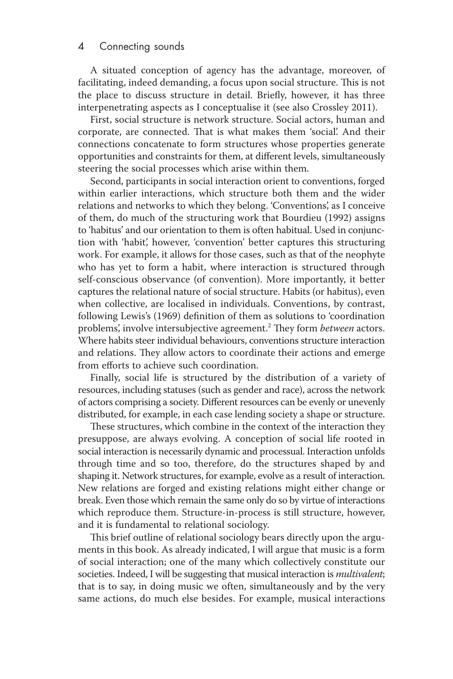#### 4 Connecting sounds

 A situated conception of agency has the advantage, moreover, of facilitating, indeed demanding, a focus upon social structure. This is not the place to discuss structure in detail. Briefly, however, it has three interpenetrating aspects as I conceptualise it (see also Crossley 2011).

 First, social structure is network structure. Social actors, human and corporate, are connected. That is what makes them 'social'. And their connections concatenate to form structures whose properties generate opportunities and constraints for them, at different levels, simultaneously steering the social processes which arise within them.

 Second, participants in social interaction orient to conventions, forged within earlier interactions, which structure both them and the wider relations and networks to which they belong. 'Conventions', as I conceive of them, do much of the structuring work that Bourdieu (1992) assigns to 'habitus' and our orientation to them is often habitual. Used in conjunction with 'habit', however, 'convention' better captures this structuring work. For example, it allows for those cases, such as that of the neophyte who has yet to form a habit, where interaction is structured through self-conscious observance (of convention). More importantly, it better captures the relational nature of social structure. Habits (or habitus), even when collective, are localised in individuals. Conventions, by contrast, following Lewis's (1969) definition of them as solutions to 'coordination problems', involve intersubjective agreement.<sup>2</sup> They form *between* actors. Where habits steer individual behaviours, conventions structure interaction and relations. They allow actors to coordinate their actions and emerge from efforts to achieve such coordination.

 Finally, social life is structured by the distribution of a variety of resources, including statuses (such as gender and race), across the network of actors comprising a society. Different resources can be evenly or unevenly distributed, for example, in each case lending society a shape or structure.

These structures, which combine in the context of the interaction they presuppose, are always evolving. A conception of social life rooted in social interaction is necessarily dynamic and processual. Interaction unfolds through time and so too, therefore, do the structures shaped by and shaping it. Network structures, for example, evolve as a result of interaction. New relations are forged and existing relations might either change or break. Even those which remain the same only do so by virtue of interactions which reproduce them. Structure-in-process is still structure, however, and it is fundamental to relational sociology.

This brief outline of relational sociology bears directly upon the arguments in this book. As already indicated, I will argue that music is a form of social interaction; one of the many which collectively constitute our societies. Indeed, I will be suggesting that musical interaction is *multivalent*; that is to say, in doing music we often, simultaneously and by the very same actions, do much else besides. For example, musical interactions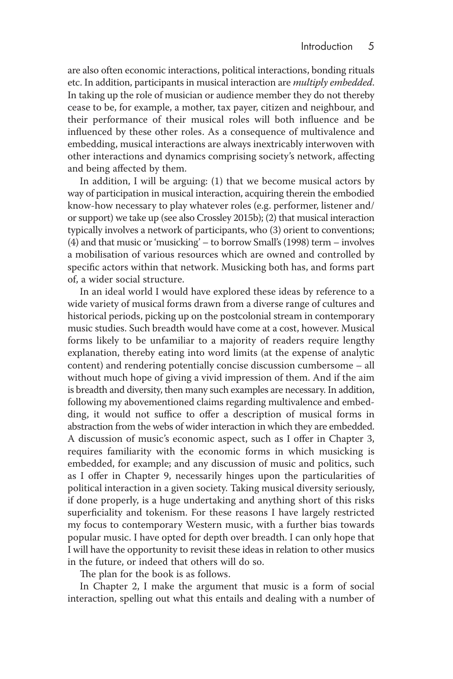are also often economic interactions, political interactions, bonding rituals etc. In addition, participants in musical interaction are *multiply embedded* . In taking up the role of musician or audience member they do not thereby cease to be, for example, a mother, tax payer, citizen and neighbour, and their performance of their musical roles will both influence and be influenced by these other roles. As a consequence of multivalence and embedding, musical interactions are always inextricably interwoven with other interactions and dynamics comprising society's network, affecting and being affected by them.

 In addition, I will be arguing: (1) that we become musical actors by way of participation in musical interaction, acquiring therein the embodied know-how necessary to play whatever roles (e.g. performer, listener and/ or support) we take up (see also Crossley 2015b ); (2) that musical interaction typically involves a network of participants, who (3) orient to conventions;  $(4)$  and that music or 'musicking' – to borrow Small's (1998) term – involves a mobilisation of various resources which are owned and controlled by specific actors within that network. Musicking both has, and forms part of, a wider social structure.

 In an ideal world I would have explored these ideas by reference to a wide variety of musical forms drawn from a diverse range of cultures and historical periods, picking up on the postcolonial stream in contemporary music studies. Such breadth would have come at a cost, however. Musical forms likely to be unfamiliar to a majority of readers require lengthy explanation, thereby eating into word limits (at the expense of analytic content) and rendering potentially concise discussion cumbersome – all without much hope of giving a vivid impression of them. And if the aim is breadth and diversity, then many such examples are necessary. In addition, following my abovementioned claims regarding multivalence and embedding, it would not suffice to offer a description of musical forms in abstraction from the webs of wider interaction in which they are embedded. A discussion of music's economic aspect, such as I offer in Chapter 3, requires familiarity with the economic forms in which musicking is embedded, for example; and any discussion of music and politics, such as I offer in Chapter 9, necessarily hinges upon the particularities of political interaction in a given society. Taking musical diversity seriously, if done properly, is a huge undertaking and anything short of this risks superficiality and tokenism. For these reasons I have largely restricted my focus to contemporary Western music, with a further bias towards popular music. I have opted for depth over breadth. I can only hope that I will have the opportunity to revisit these ideas in relation to other musics in the future, or indeed that others will do so.

The plan for the book is as follows.

In Chapter 2, I make the argument that music is a form of social interaction, spelling out what this entails and dealing with a number of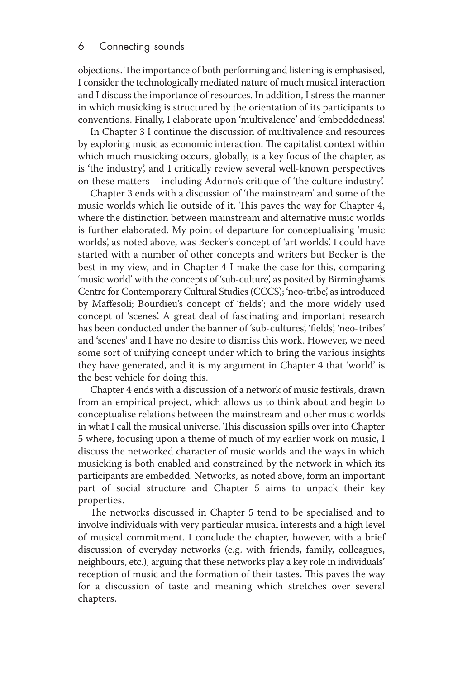objections. The importance of both performing and listening is emphasised, I consider the technologically mediated nature of much musical interaction and I discuss the importance of resources. In addition, I stress the manner in which musicking is structured by the orientation of its participants to conventions. Finally, I elaborate upon 'multivalence' and 'embeddedness'.

 In Chapter 3 I continue the discussion of multivalence and resources by exploring music as economic interaction. The capitalist context within which much musicking occurs, globally, is a key focus of the chapter, as is 'the industry', and I critically review several well-known perspectives on these matters – including Adorno's critique of 'the culture industry'.

 Chapter 3 ends with a discussion of 'the mainstream' and some of the music worlds which lie outside of it. This paves the way for Chapter 4, where the distinction between mainstream and alternative music worlds is further elaborated. My point of departure for conceptualising 'music worlds', as noted above, was Becker's concept of 'art worlds'. I could have started with a number of other concepts and writers but Becker is the best in my view, and in Chapter 4 I make the case for this, comparing 'music world' with the concepts of 'sub-culture', as posited by Birmingham's Centre for Contemporary Cultural Studies (CCCS); 'neo-tribe', as introduced by Maffesoli; Bourdieu's concept of 'fields'; and the more widely used concept of 'scenes'. A great deal of fascinating and important research has been conducted under the banner of 'sub-cultures', 'fields', 'neo-tribes' and 'scenes' and I have no desire to dismiss this work. However, we need some sort of unifying concept under which to bring the various insights they have generated, and it is my argument in Chapter 4 that 'world' is the best vehicle for doing this.

 Chapter 4 ends with a discussion of a network of music festivals, drawn from an empirical project, which allows us to think about and begin to conceptualise relations between the mainstream and other music worlds in what I call the musical universe. This discussion spills over into Chapter 5 where, focusing upon a theme of much of my earlier work on music, I discuss the networked character of music worlds and the ways in which musicking is both enabled and constrained by the network in which its participants are embedded. Networks, as noted above, form an important part of social structure and Chapter 5 aims to unpack their key properties.

The networks discussed in Chapter 5 tend to be specialised and to involve individuals with very particular musical interests and a high level of musical commitment. I conclude the chapter, however, with a brief discussion of everyday networks (e.g. with friends, family, colleagues, neighbours, etc.), arguing that these networks play a key role in individuals' reception of music and the formation of their tastes. This paves the way for a discussion of taste and meaning which stretches over several chapters.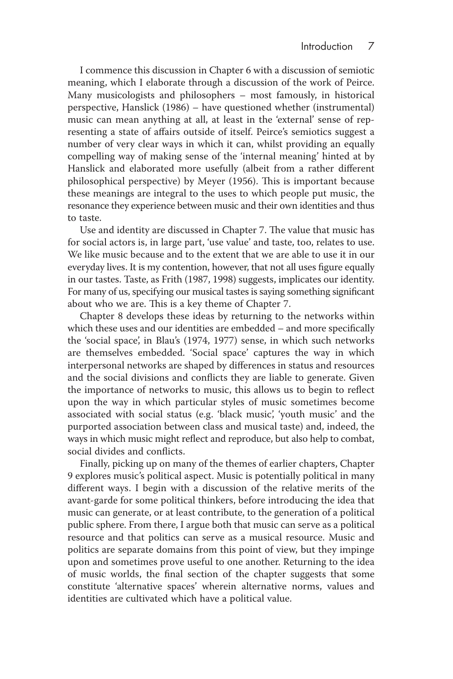I commence this discussion in Chapter 6 with a discussion of semiotic meaning, which I elaborate through a discussion of the work of Peirce. Many musicologists and philosophers – most famously, in historical perspective, Hanslick (1986) – have questioned whether (instrumental) music can mean anything at all, at least in the 'external' sense of representing a state of affairs outside of itself. Peirce's semiotics suggest a number of very clear ways in which it can, whilst providing an equally compelling way of making sense of the 'internal meaning' hinted at by Hanslick and elaborated more usefully (albeit from a rather different philosophical perspective) by Meyer (1956). This is important because these meanings are integral to the uses to which people put music, the resonance they experience between music and their own identities and thus to taste.

Use and identity are discussed in Chapter 7. The value that music has for social actors is, in large part, 'use value' and taste, too, relates to use. We like music because and to the extent that we are able to use it in our everyday lives. It is my contention, however, that not all uses figure equally in our tastes. Taste, as Frith (1987, 1998) suggests, implicates our identity. For many of us, specifying our musical tastes is saying something significant about who we are. This is a key theme of Chapter 7.

 Chapter 8 develops these ideas by returning to the networks within which these uses and our identities are embedded – and more specifically the 'social space', in Blau's (1974, 1977) sense, in which such networks are themselves embedded. 'Social space' captures the way in which interpersonal networks are shaped by differences in status and resources and the social divisions and conflicts they are liable to generate. Given the importance of networks to music, this allows us to begin to reflect upon the way in which particular styles of music sometimes become associated with social status (e.g. 'black music', 'youth music' and the purported association between class and musical taste) and, indeed, the ways in which music might reflect and reproduce, but also help to combat, social divides and conflicts.

 Finally, picking up on many of the themes of earlier chapters, Chapter 9 explores music's political aspect. Music is potentially political in many different ways. I begin with a discussion of the relative merits of the avant-garde for some political thinkers, before introducing the idea that music can generate, or at least contribute, to the generation of a political public sphere. From there, I argue both that music can serve as a political resource and that politics can serve as a musical resource. Music and politics are separate domains from this point of view, but they impinge upon and sometimes prove useful to one another. Returning to the idea of music worlds, the final section of the chapter suggests that some constitute 'alternative spaces' wherein alternative norms, values and identities are cultivated which have a political value.